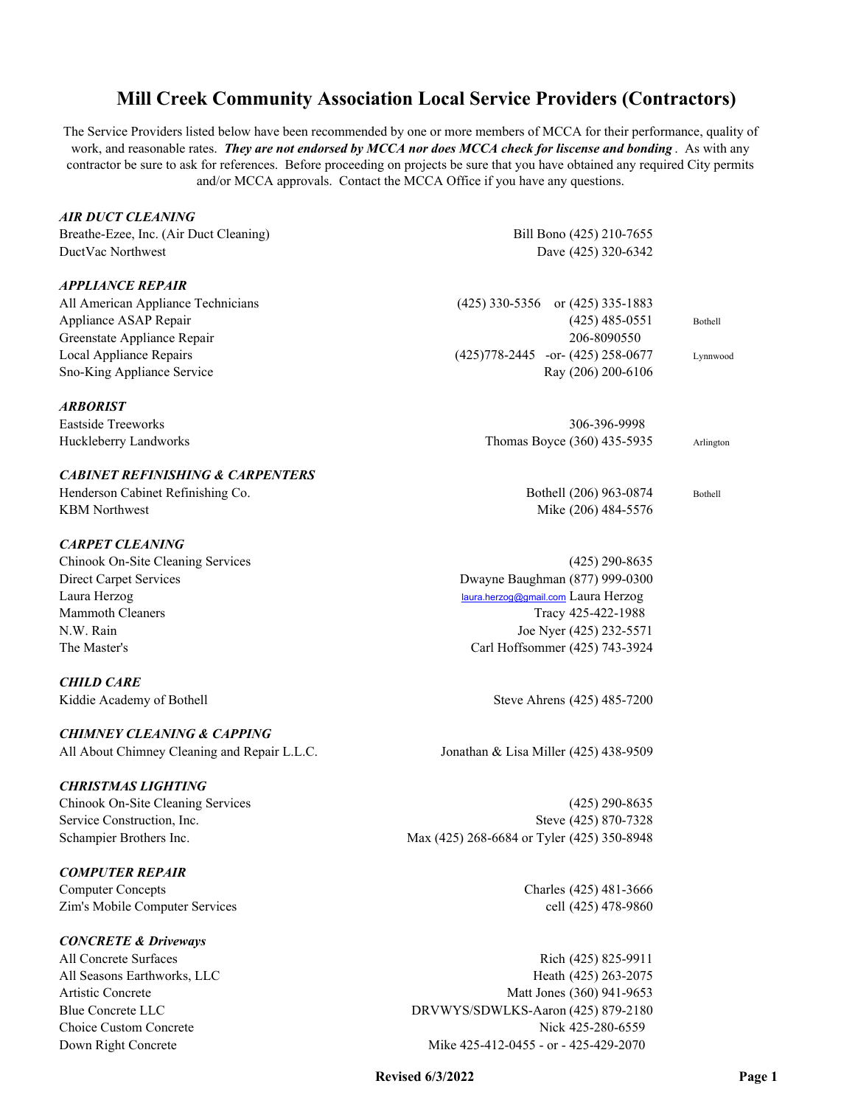The Service Providers listed below have been recommended by one or more members of MCCA for their performance, quality of work, and reasonable rates. *They are not endorsed by MCCA nor does MCCA check for liscense and bonding* . As with any contractor be sure to ask for references. Before proceeding on projects be sure that you have obtained any required City permits and/or MCCA approvals. Contact the MCCA Office if you have any questions.

## *AIR DUCT CLEANING*

Breathe-Ezee, Inc. (Air Duct Cleaning) Bill Bono (425) 210-7655 DuctVac Northwest Dave (425) 320-6342

## *APPLIANCE REPAIR*

Greenstate Appliance Repair 206-8090550

#### *ARBORIST*

## *CABINET REFINISHING & CARPENTERS*

Henderson Cabinet Refinishing Co. Bothell (206) 963-0874 Bothell KBM Northwest Mike (206) 484-5576

## *CARPET CLEANING*

## *CHILD CARE*

## *CHIMNEY CLEANING & CAPPING*

All About Chimney Cleaning and Repair L.L.C. Jonathan & Lisa Miller (425) 438-9509

## *CHRISTMAS LIGHTING*

## *COMPUTER REPAIR*

Computer Concepts Charles (425) 481-3666 Zim's Mobile Computer Services cell (425) 478-9860

## *CONCRETE & Driveways*

All American Appliance Technicians (425) 330-5356 or (425) 335-1883 Appliance ASAP Repair and the set of the set of the set of the set of the set of the set of the set of the set of the set of the set of the set of the set of the set of the set of the set of the set of the set of the set o Local Appliance Repairs (425)778-2445 -or- (425) 258-0677 Lynnwood Sno-King Appliance Service **Ray (206)** 200-6106

Eastside Treeworks 306-396-9998 Huckleberry Landworks **Thomas Boyce (360)** 435-5935 Arlington

## Chinook On-Site Cleaning Services (425) 290-8635 Direct Carpet Services Dwayne Baughman (877) 999-0300 Laura Herzog laura.herzog@gmail.com Laura Herzog Mammoth Cleaners Tracy 425-422-1988 N.W. Rain Joe Nyer (425) 232-5571 The Master's Carl Hoffsommer (425) 743-3924

Kiddie Academy of Bothell Steve Ahrens (425) 485-7200

Chinook On-Site Cleaning Services (425) 290-8635 Service Construction, Inc. Steve (425) 870-7328 Schampier Brothers Inc. Max (425) 268-6684 or Tyler (425) 350-8948

All Concrete Surfaces Rich (425) 825-9911 All Seasons Earthworks, LLC Heath (425) 263-2075 Artistic Concrete Matt Jones (360) 941-9653 Blue Concrete LLC DRVWYS/SDWLKS-Aaron (425) 879-2180 Choice Custom Concrete Nick 425-280-6559 Down Right Concrete Mike 425-412-0455 - or - 425-429-2070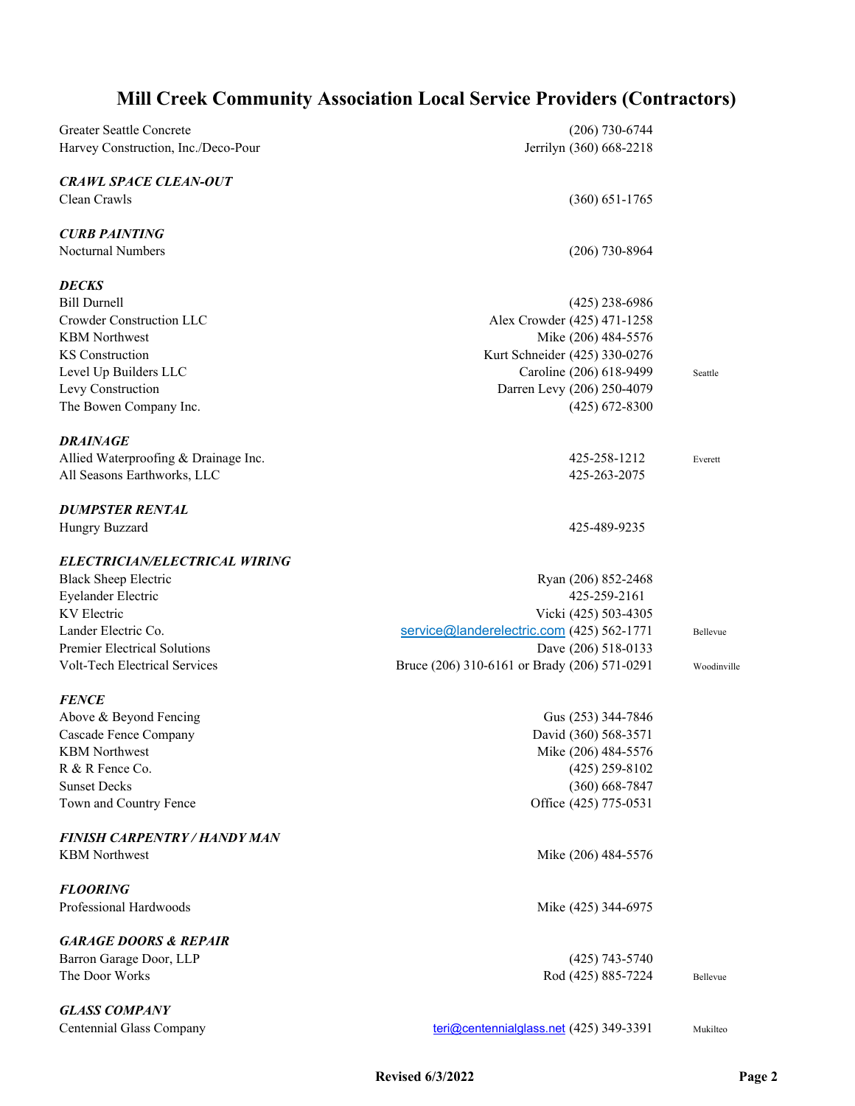| Greater Seattle Concrete             | $(206)$ 730-6744                             |             |
|--------------------------------------|----------------------------------------------|-------------|
| Harvey Construction, Inc./Deco-Pour  | Jerrilyn (360) 668-2218                      |             |
| <b>CRAWL SPACE CLEAN-OUT</b>         |                                              |             |
| Clean Crawls                         | $(360) 651 - 1765$                           |             |
| <b>CURB PAINTING</b>                 |                                              |             |
| <b>Nocturnal Numbers</b>             | $(206)$ 730-8964                             |             |
| <b>DECKS</b>                         |                                              |             |
| <b>Bill Durnell</b>                  | $(425)$ 238-6986                             |             |
| Crowder Construction LLC             | Alex Crowder (425) 471-1258                  |             |
| <b>KBM</b> Northwest                 | Mike (206) 484-5576                          |             |
| <b>KS</b> Construction               | Kurt Schneider (425) 330-0276                |             |
| Level Up Builders LLC                | Caroline (206) 618-9499                      | Seattle     |
| Levy Construction                    | Darren Levy (206) 250-4079                   |             |
| The Bowen Company Inc.               | $(425)$ 672-8300                             |             |
| DRAINAGE                             |                                              |             |
| Allied Waterproofing & Drainage Inc. | 425-258-1212                                 | Everett     |
| All Seasons Earthworks, LLC          | 425-263-2075                                 |             |
| <b>DUMPSTER RENTAL</b>               |                                              |             |
| Hungry Buzzard                       | 425-489-9235                                 |             |
| ELECTRICIAN/ELECTRICAL WIRING        |                                              |             |
| <b>Black Sheep Electric</b>          | Ryan (206) 852-2468                          |             |
| <b>Eyelander Electric</b>            | 425-259-2161                                 |             |
| <b>KV</b> Electric                   | Vicki (425) 503-4305                         |             |
| Lander Electric Co.                  | service@landerelectric.com (425) 562-1771    | Bellevue    |
| Premier Electrical Solutions         | Dave (206) 518-0133                          |             |
| <b>Volt-Tech Electrical Services</b> | Bruce (206) 310-6161 or Brady (206) 571-0291 | Woodinville |
| <b>FENCE</b>                         |                                              |             |
| Above & Beyond Fencing               | Gus (253) 344-7846                           |             |
| Cascade Fence Company                | David (360) 568-3571                         |             |
| <b>KBM</b> Northwest                 | Mike (206) 484-5576                          |             |
| R & R Fence Co.                      | $(425)$ 259-8102                             |             |
| <b>Sunset Decks</b>                  | $(360) 668 - 7847$                           |             |
| Town and Country Fence               | Office (425) 775-0531                        |             |
| FINISH CARPENTRY / HANDY MAN         |                                              |             |
| <b>KBM</b> Northwest                 | Mike (206) 484-5576                          |             |
| <b>FLOORING</b>                      |                                              |             |
| Professional Hardwoods               | Mike (425) 344-6975                          |             |
| <b>GARAGE DOORS &amp; REPAIR</b>     |                                              |             |
| Barron Garage Door, LLP              | $(425)$ 743-5740                             |             |
| The Door Works                       | Rod (425) 885-7224                           | Bellevue    |
| <b>GLASS COMPANY</b>                 |                                              |             |
| Centennial Glass Company             | teri@centennialglass.net (425) 349-3391      | Mukilteo    |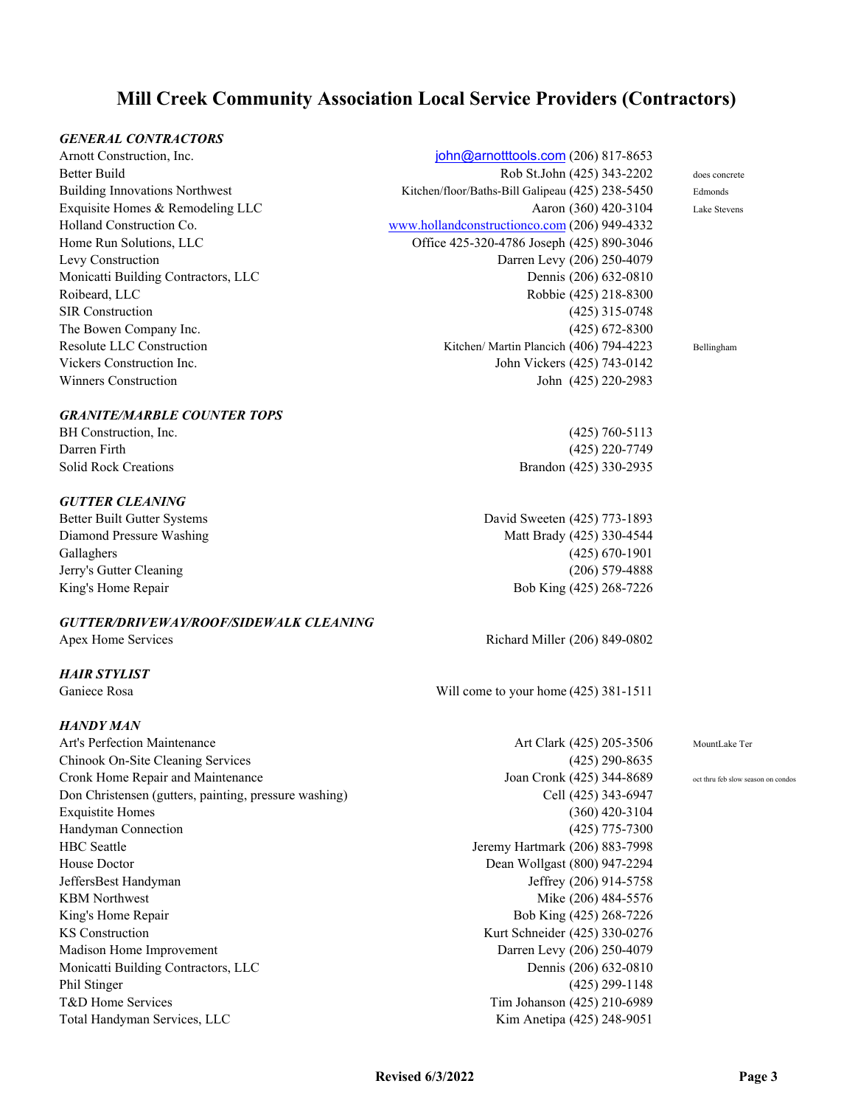## *GENERAL CONTRACTORS*

## *GRANITE/MARBLE COUNTER TOPS*

## *GUTTER CLEANING*

## *GUTTER/DRIVEWAY/ROOF/SIDEWALK CLEANING*

## *HAIR STYLIST*

## *HANDY MAN*

Art's Perfection Maintenance and the Secret Art Clark (425) 205-3506 MountLake Ter Chinook On-Site Cleaning Services (425) 290-8635 Cronk Home Repair and Maintenance Joan Cronk (425) 344-8689 oct thru feb slow season on condos Don Christensen (gutters, painting, pressure washing) Cell (425) 343-6947 Exquistite Homes (360) 420-3104 Handyman Connection (425) 775-7300 HBC Seattle Jeremy Hartmark (206) 883-7998 House Doctor Dean Wollgast (800) 947-2294 JeffersBest Handyman Jeffrey (206) 914-5758 KBM Northwest Mike (206) 484-5576 King's Home Repair Bob King (425) 268-7226 KS Construction Kurt Schneider (425) 330-0276 Madison Home Improvement Darren Levy (206) 250-4079 Monicatti Building Contractors, LLC Dennis (206) 632-0810 Phil Stinger (425) 299-1148 T&D Home Services Tim Johanson (425) 210-6989 Total Handyman Services, LLC **Kim Anetipa (425) 248-9051** Kim Anetipa (425) 248-9051

Arnott Construction, Inc. **john**@arnotttools.com (206) 817-8653 Better Build Rob St.John (425) 343-2202 does concrete Building Innovations Northwest Kitchen/floor/Baths-Bill Galipeau (425) 238-5450 Edmonds Exquisite Homes & Remodeling LLC Aaron (360) 420-3104 Lake Stevens Holland Construction Co. www.hollandconstructionco.com (206) 949-4332 Home Run Solutions, LLC Office 425-320-4786 Joseph (425) 890-3046 Levy Construction Darren Levy (206) 250-4079 Monicatti Building Contractors, LLC Dennis (206) 632-0810 Roibeard, LLC Robbie (425) 218-8300 SIR Construction (425) 315-0748 The Bowen Company Inc. (425) 672-8300 Resolute LLC Construction The Construction Richard Kitchen/ Martin Plancich (406) 794-4223 Bellingham Vickers Construction Inc. **Vickers Construction Inc.** John Vickers (425) 743-0142 Winners Construction John (425) 220-2983

BH Construction, Inc. (425) 760-5113 Darren Firth (425) 220-7749 Solid Rock Creations Brandon (425) 330-2935

Better Built Gutter Systems David Sweeten (425) 773-1893 Diamond Pressure Washing Matt Brady (425) 330-4544 Gallaghers (425) 670-1901 Jerry's Gutter Cleaning (206) 579-4888 King's Home Repair Bob King (425) 268-7226

Apex Home Services **Richard Miller (206) 849-0802** 

Ganiece Rosa **Will come to your home (425)** 381-1511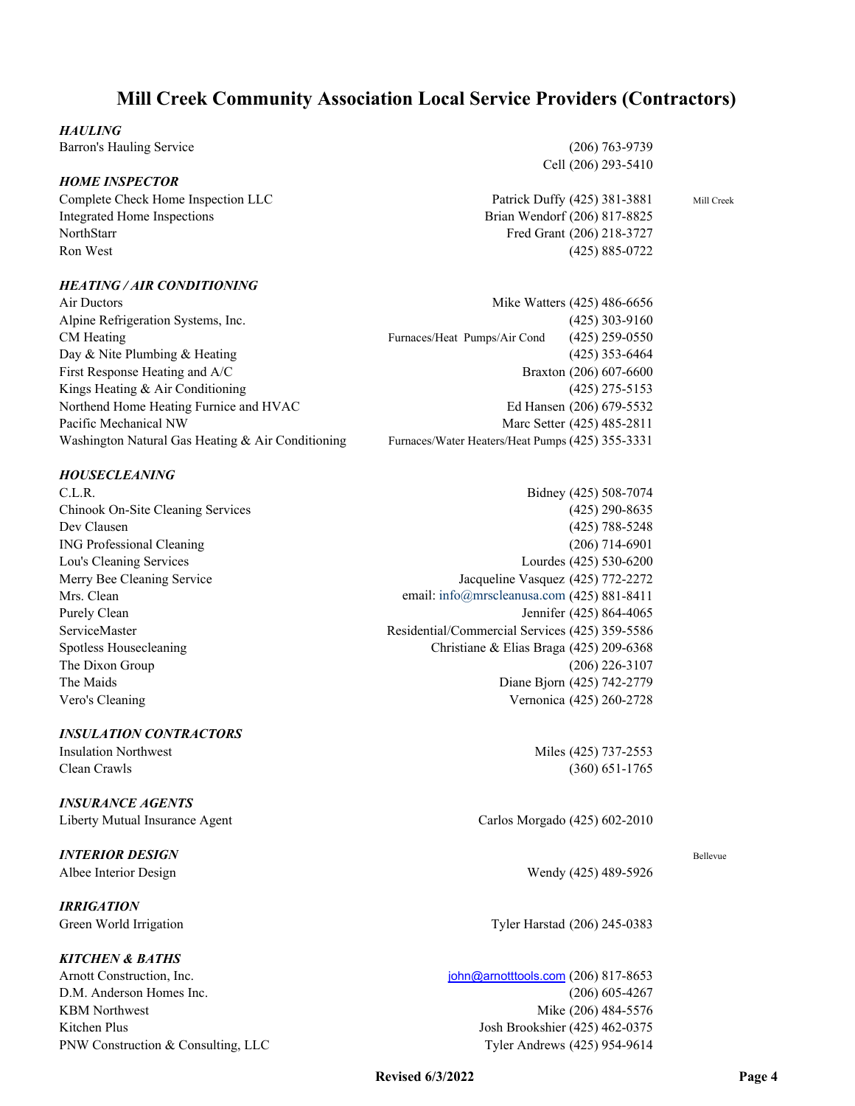## *HAULING*

Barron's Hauling Service (206) 763-9739

## *HOME INSPECTOR*

Integrated Home Inspections Brian Wendorf (206) 817-8825 NorthStarr Fred Grant (206) 218-3727 Ron West (425) 885-0722

## *HEATING / AIR CONDITIONING*

Cell (206) 293-5410

Complete Check Home Inspection LLC **Patrick Duffy (425)** 381-3881 Mill Creek

| Air Ductors                                          | Mike Watters (425) 486-6656                      |
|------------------------------------------------------|--------------------------------------------------|
| Alpine Refrigeration Systems, Inc.                   | $(425)$ 303-9160                                 |
| CM Heating                                           | $(425)$ 259-0550<br>Furnaces/Heat Pumps/Air Cond |
| Day & Nite Plumbing & Heating                        | $(425)$ 353-6464                                 |
| First Response Heating and A/C                       | Braxton (206) 607-6600                           |
| Kings Heating & Air Conditioning                     | $(425)$ 275-5153                                 |
| Northend Home Heating Furnice and HVAC               | Ed Hansen (206) 679-5532                         |
| Pacific Mechanical NW                                | Marc Setter (425) 485-2811                       |
| Washington Natural Gas Heating $\&$ Air Conditioning | Furnaces/Water Heaters/Heat Pumps (425) 355-3331 |
|                                                      |                                                  |

## *HOUSECLEANING*

Vero's Cleaning Vernonica (425) 260-2728

## *INSULATION CONTRACTORS*

## *INSURANCE AGENTS*

# *INTERIOR DESIGN* Bellevue

*IRRIGATION*

## *KITCHEN & BATHS*

C.L.R. Bidney (425) 508-7074 Chinook On-Site Cleaning Services (425) 290-8635 Dev Clausen (425) 788-5248 ING Professional Cleaning (206) 714-6901 Lou's Cleaning Services Lourdes (425) 530-6200 Merry Bee Cleaning Service **Service 3 and Service 3 and Service** Jacqueline Vasquez (425) 772-2272 Mrs. Clean email: info@mrscleanusa.com (425) 881-8411 Purely Clean Jennifer (425) 864-4065 ServiceMaster Residential/Commercial Services (425) 359-5586 Spotless Housecleaning Christiane & Elias Braga (425) 209-6368 The Dixon Group  $(206)$  226-3107 The Maids Diane Bjorn (425) 742-2779

Insulation Northwest Miles (425) 737-2553 Clean Crawls (360) 651-1765

Liberty Mutual Insurance Agent Carlos Morgado (425) 602-2010

Albee Interior Design Wendy (425) 489-5926

Green World Irrigation **Tyler Harstad** (206) 245-0383

Arnott Construction, Inc. **inc.** john@arnotttools.com (206) 817-8653 D.M. Anderson Homes Inc. (206) 605-4267 KBM Northwest Mike (206) 484-5576 Kitchen Plus Josh Brookshier (425) 462-0375 PNW Construction & Consulting, LLC Tyler Andrews (425) 954-9614

## **Revised 6/3/2022** Page 4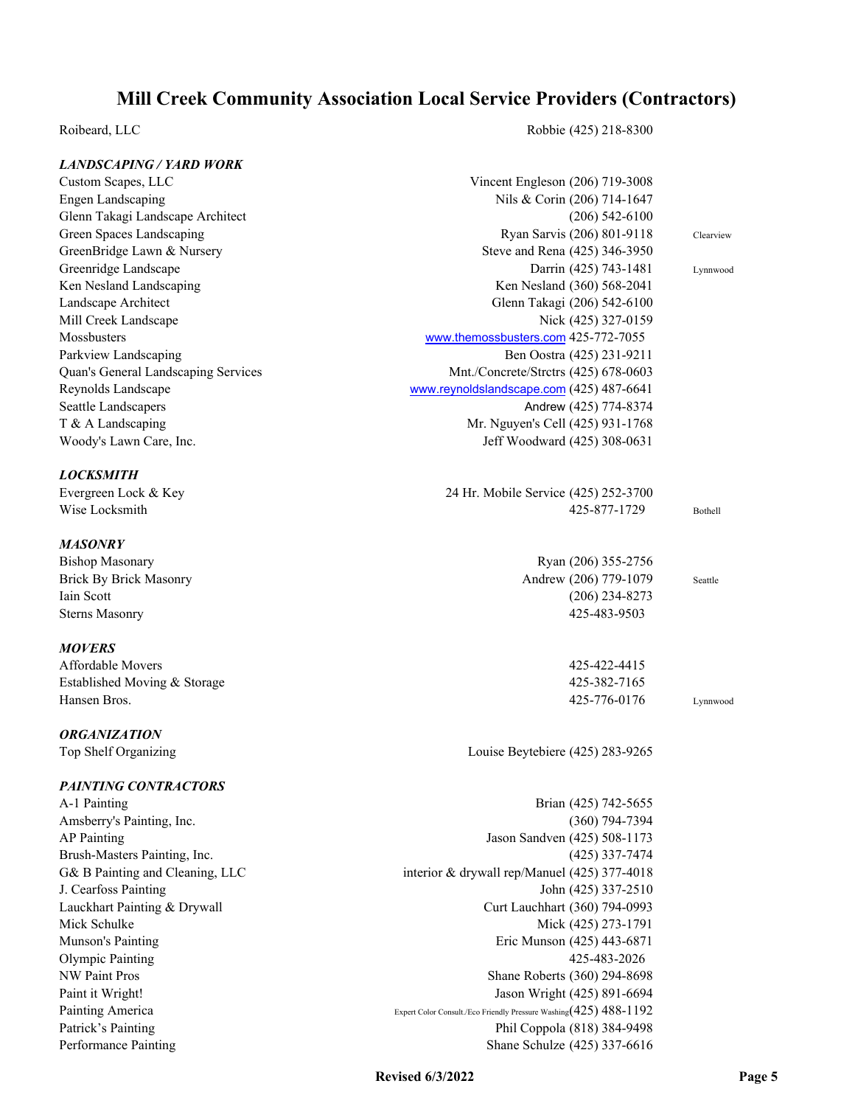## *LANDSCAPING / YARD WORK*

Roibeard, LLC Robbie (425) 218-8300

| LANDSCAPING / YARD WORK             |                                                                    |           |
|-------------------------------------|--------------------------------------------------------------------|-----------|
| Custom Scapes, LLC                  | Vincent Engleson (206) 719-3008                                    |           |
| <b>Engen Landscaping</b>            | Nils & Corin (206) 714-1647                                        |           |
| Glenn Takagi Landscape Architect    | $(206)$ 542-6100                                                   |           |
| Green Spaces Landscaping            | Ryan Sarvis (206) 801-9118                                         | Clearview |
| GreenBridge Lawn & Nursery          | Steve and Rena (425) 346-3950                                      |           |
| Greenridge Landscape                | Darrin (425) 743-1481                                              | Lynnwood  |
| Ken Nesland Landscaping             | Ken Nesland (360) 568-2041                                         |           |
| Landscape Architect                 | Glenn Takagi (206) 542-6100                                        |           |
| Mill Creek Landscape                | Nick (425) 327-0159                                                |           |
| Mossbusters                         | www.themossbusters.com 425-772-7055                                |           |
| Parkview Landscaping                | Ben Oostra (425) 231-9211                                          |           |
| Quan's General Landscaping Services | Mnt./Concrete/Strctrs (425) 678-0603                               |           |
| Reynolds Landscape                  | www.reynoldslandscape.com (425) 487-6641                           |           |
| Seattle Landscapers                 | Andrew (425) 774-8374                                              |           |
| T & A Landscaping                   | Mr. Nguyen's Cell (425) 931-1768                                   |           |
| Woody's Lawn Care, Inc.             | Jeff Woodward (425) 308-0631                                       |           |
|                                     |                                                                    |           |
| <b>LOCKSMITH</b>                    |                                                                    |           |
| Evergreen Lock & Key                | 24 Hr. Mobile Service (425) 252-3700                               |           |
| Wise Locksmith                      | 425-877-1729                                                       | Bothell   |
|                                     |                                                                    |           |
| <b>MASONRY</b>                      |                                                                    |           |
| <b>Bishop Masonary</b>              | Ryan (206) 355-2756                                                |           |
| <b>Brick By Brick Masonry</b>       | Andrew (206) 779-1079                                              | Seattle   |
| Iain Scott                          | $(206)$ 234-8273                                                   |           |
| <b>Sterns Masonry</b>               | 425-483-9503                                                       |           |
| <b>MOVERS</b>                       |                                                                    |           |
| Affordable Movers                   | 425-422-4415                                                       |           |
| Established Moving & Storage        | 425-382-7165                                                       |           |
| Hansen Bros.                        | 425-776-0176                                                       | Lynnwood  |
|                                     |                                                                    |           |
| <b>ORGANIZATION</b>                 |                                                                    |           |
| Top Shelf Organizing                | Louise Beytebiere (425) 283-9265                                   |           |
|                                     |                                                                    |           |
| PAINTING CONTRACTORS                |                                                                    |           |
| A-1 Painting                        | Brian (425) 742-5655                                               |           |
| Amsberry's Painting, Inc.           | $(360)$ 794-7394                                                   |           |
| <b>AP Painting</b>                  | Jason Sandven (425) 508-1173                                       |           |
| Brush-Masters Painting, Inc.        | $(425)$ 337-7474                                                   |           |
| G& B Painting and Cleaning, LLC     | interior & drywall rep/Manuel (425) 377-4018                       |           |
| J. Cearfoss Painting                | John (425) 337-2510                                                |           |
| Lauckhart Painting & Drywall        | Curt Lauchhart (360) 794-0993                                      |           |
| Mick Schulke                        | Mick (425) 273-1791                                                |           |
| Munson's Painting                   | Eric Munson (425) 443-6871                                         |           |
| <b>Olympic Painting</b>             | 425-483-2026                                                       |           |
| <b>NW Paint Pros</b>                | Shane Roberts (360) 294-8698                                       |           |
| Paint it Wright!                    | Jason Wright (425) 891-6694                                        |           |
| Painting America                    | Expert Color Consult./Eco Friendly Pressure Washing (425) 488-1192 |           |
|                                     |                                                                    |           |

Patrick's Painting Phil Coppola (818) 384-9498 Performance Painting Shane Schulze (425) 337-6616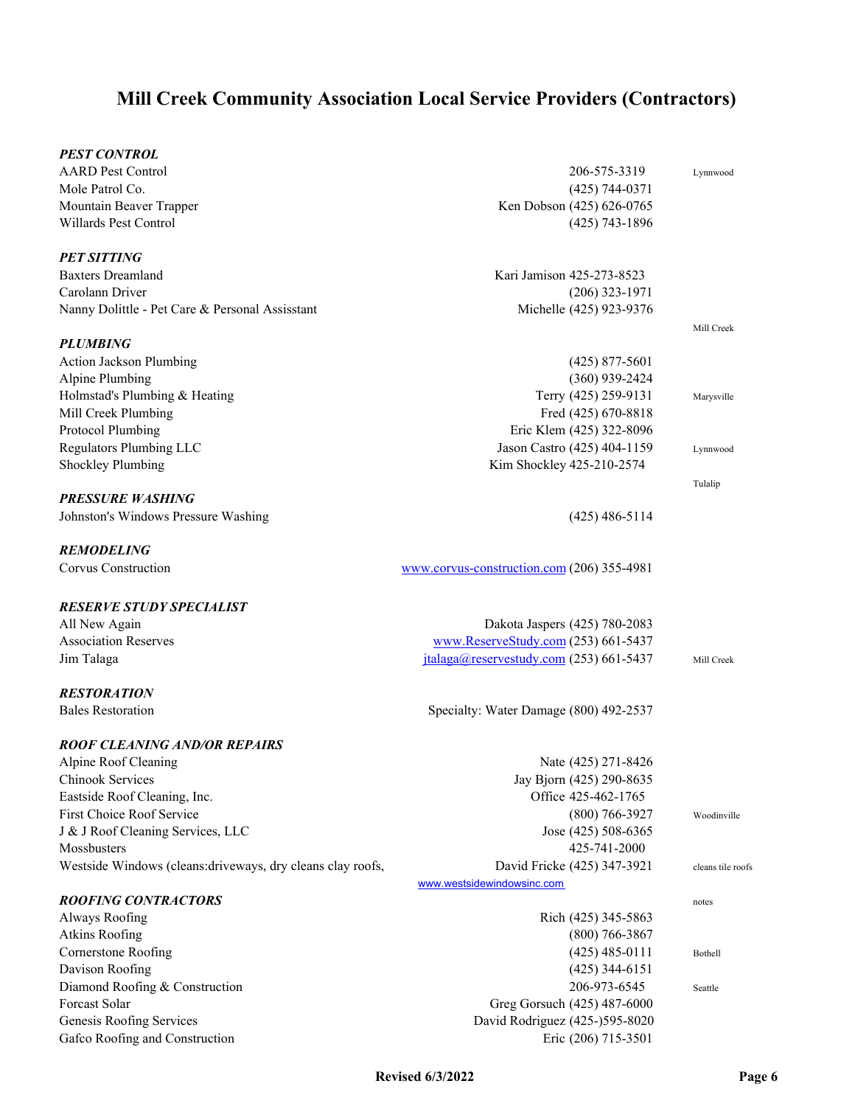| PEST CONTROL                                                |                                            |                   |
|-------------------------------------------------------------|--------------------------------------------|-------------------|
| <b>AARD Pest Control</b>                                    | 206-575-3319                               | Lynnwood          |
| Mole Patrol Co.                                             | $(425)$ 744-0371                           |                   |
| Mountain Beaver Trapper                                     | Ken Dobson (425) 626-0765                  |                   |
| Willards Pest Control                                       | $(425)$ 743-1896                           |                   |
| PET SITTING                                                 |                                            |                   |
| <b>Baxters Dreamland</b>                                    | Kari Jamison 425-273-8523                  |                   |
| Carolann Driver                                             | $(206)$ 323-1971                           |                   |
| Nanny Dolittle - Pet Care & Personal Assisstant             | Michelle (425) 923-9376                    |                   |
| PLUMBING                                                    |                                            | Mill Creek        |
| <b>Action Jackson Plumbing</b>                              | $(425)$ 877-5601                           |                   |
| <b>Alpine Plumbing</b>                                      | $(360)$ 939-2424                           |                   |
| Holmstad's Plumbing & Heating                               | Terry (425) 259-9131                       | Marysville        |
| Mill Creek Plumbing                                         | Fred (425) 670-8818                        |                   |
| Protocol Plumbing                                           | Eric Klem (425) 322-8096                   |                   |
| <b>Regulators Plumbing LLC</b>                              | Jason Castro (425) 404-1159                | Lynnwood          |
| <b>Shockley Plumbing</b>                                    | Kim Shockley 425-210-2574                  |                   |
| PRESSURE WASHING                                            |                                            | Tulalip           |
| Johnston's Windows Pressure Washing                         | $(425)$ 486-5114                           |                   |
| <b>REMODELING</b>                                           |                                            |                   |
| <b>Corvus Construction</b>                                  | www.corvus-construction.com (206) 355-4981 |                   |
| <b>RESERVE STUDY SPECIALIST</b>                             |                                            |                   |
| All New Again                                               | Dakota Jaspers (425) 780-2083              |                   |
| <b>Association Reserves</b>                                 | www.ReserveStudy.com (253) 661-5437        |                   |
| Jim Talaga                                                  | $italaga@reservestudy.com$ (253) 661-5437  | Mill Creek        |
| <i><b>RESTORATION</b></i>                                   |                                            |                   |
| <b>Bales Restoration</b>                                    | Specialty: Water Damage (800) 492-2537     |                   |
| ROOF CLEANING AND/OR REPAIRS                                |                                            |                   |
| Alpine Roof Cleaning                                        | Nate (425) 271-8426                        |                   |
| Chinook Services                                            | Jay Bjorn (425) 290-8635                   |                   |
| Eastside Roof Cleaning, Inc.                                | Office 425-462-1765                        |                   |
| First Choice Roof Service                                   | $(800)$ 766-3927                           | Woodinville       |
| J & J Roof Cleaning Services, LLC                           | Jose (425) 508-6365                        |                   |
| Mossbusters                                                 | 425-741-2000                               |                   |
| Westside Windows (cleans: driveways, dry cleans clay roofs, | David Fricke (425) 347-3921                | cleans tile roofs |
|                                                             | www.westsidewindowsinc.com                 |                   |
| <b>ROOFING CONTRACTORS</b>                                  |                                            | notes             |
| Always Roofing                                              | Rich (425) 345-5863                        |                   |
| <b>Atkins Roofing</b>                                       | $(800)$ 766-3867                           |                   |
| Cornerstone Roofing                                         | $(425)$ 485-0111                           | Bothell           |
| Davison Roofing                                             | $(425)$ 344-6151                           |                   |
| Diamond Roofing & Construction                              | 206-973-6545                               | Seattle           |
| Forcast Solar                                               | Greg Gorsuch (425) 487-6000                |                   |
| Genesis Roofing Services                                    | David Rodriguez (425-)595-8020             |                   |
| Gafco Roofing and Construction                              | Eric (206) 715-3501                        |                   |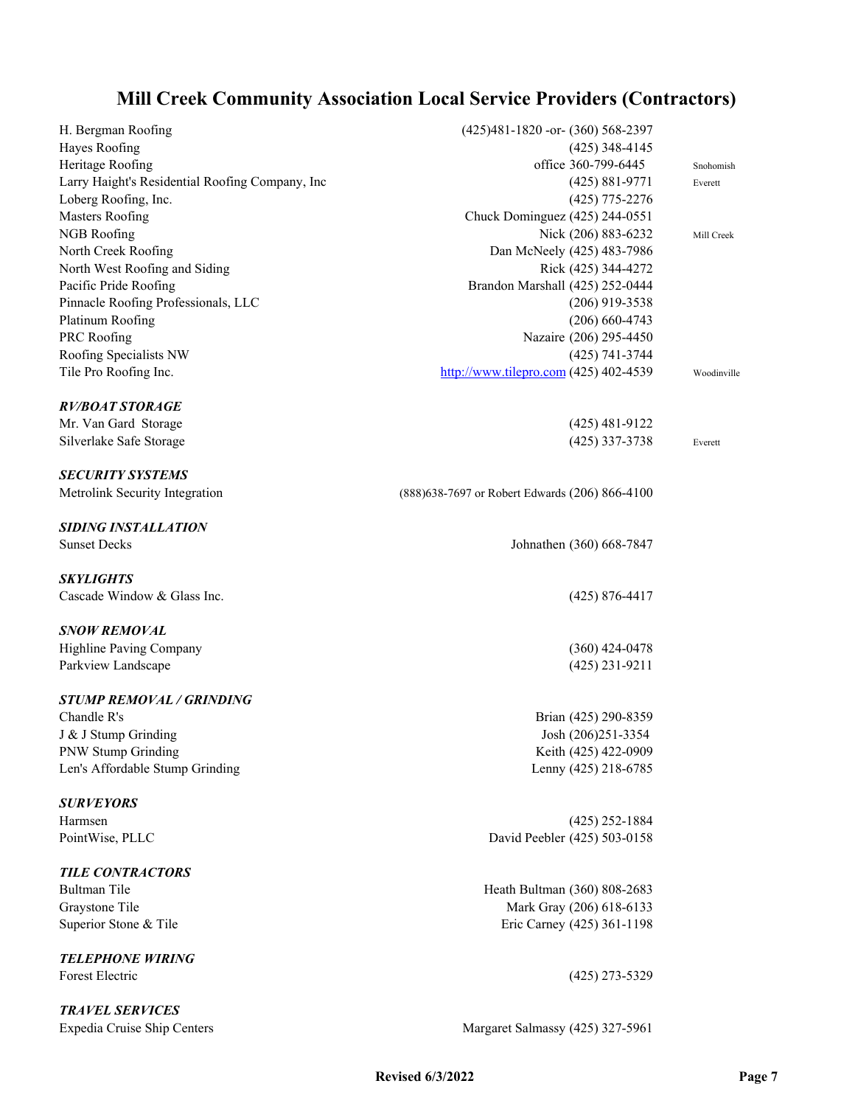| H. Bergman Roofing                              | (425)481-1820 - or- (360) 568-2397              |             |
|-------------------------------------------------|-------------------------------------------------|-------------|
| Hayes Roofing                                   | $(425)$ 348-4145                                |             |
| Heritage Roofing                                | office 360-799-6445                             | Snohomish   |
| Larry Haight's Residential Roofing Company, Inc | $(425) 881 - 9771$                              | Everett     |
| Loberg Roofing, Inc.                            | $(425)$ 775-2276                                |             |
| <b>Masters Roofing</b>                          | Chuck Dominguez (425) 244-0551                  |             |
| NGB Roofing                                     | Nick (206) 883-6232                             | Mill Creek  |
| North Creek Roofing                             | Dan McNeely (425) 483-7986                      |             |
| North West Roofing and Siding                   | Rick (425) 344-4272                             |             |
| Pacific Pride Roofing                           | Brandon Marshall (425) 252-0444                 |             |
| Pinnacle Roofing Professionals, LLC             | $(206)$ 919-3538                                |             |
| Platinum Roofing                                | $(206) 660 - 4743$                              |             |
| PRC Roofing                                     | Nazaire (206) 295-4450                          |             |
| Roofing Specialists NW                          | (425) 741-3744                                  |             |
| Tile Pro Roofing Inc.                           | http://www.tilepro.com $(425)$ 402-4539         | Woodinville |
| <b>RV/BOAT STORAGE</b>                          |                                                 |             |
| Mr. Van Gard Storage                            | $(425)$ 481-9122                                |             |
| Silverlake Safe Storage                         | $(425)$ 337-3738                                | Everett     |
| <b>SECURITY SYSTEMS</b>                         |                                                 |             |
| Metrolink Security Integration                  | (888) 638-7697 or Robert Edwards (206) 866-4100 |             |
| <b>SIDING INSTALLATION</b>                      |                                                 |             |
| <b>Sunset Decks</b>                             | Johnathen (360) 668-7847                        |             |
| <b>SKYLIGHTS</b>                                |                                                 |             |
| Cascade Window & Glass Inc.                     | $(425) 876 - 4417$                              |             |
| <b>SNOW REMOVAL</b>                             |                                                 |             |
| Highline Paving Company                         | $(360)$ 424-0478                                |             |
| Parkview Landscape                              | $(425)$ 231-9211                                |             |
| <b>STUMP REMOVAL / GRINDING</b>                 |                                                 |             |
| Chandle R's                                     | Brian (425) 290-8359                            |             |
| J & J Stump Grinding                            | Josh (206)251-3354                              |             |
| <b>PNW Stump Grinding</b>                       | Keith (425) 422-0909                            |             |
| Len's Affordable Stump Grinding                 | Lenny (425) 218-6785                            |             |
| <b>SURVEYORS</b>                                |                                                 |             |
| Harmsen                                         | $(425)$ 252-1884                                |             |
| PointWise, PLLC                                 | David Peebler (425) 503-0158                    |             |
| <b>TILE CONTRACTORS</b>                         |                                                 |             |
| <b>Bultman Tile</b>                             | Heath Bultman (360) 808-2683                    |             |
| Graystone Tile                                  | Mark Gray (206) 618-6133                        |             |
| Superior Stone & Tile                           | Eric Carney (425) 361-1198                      |             |
| <b>TELEPHONE WIRING</b>                         |                                                 |             |
| Forest Electric                                 | $(425)$ 273-5329                                |             |
| <b>TRAVEL SERVICES</b>                          |                                                 |             |

Expedia Cruise Ship Centers Margaret Salmassy (425) 327-5961